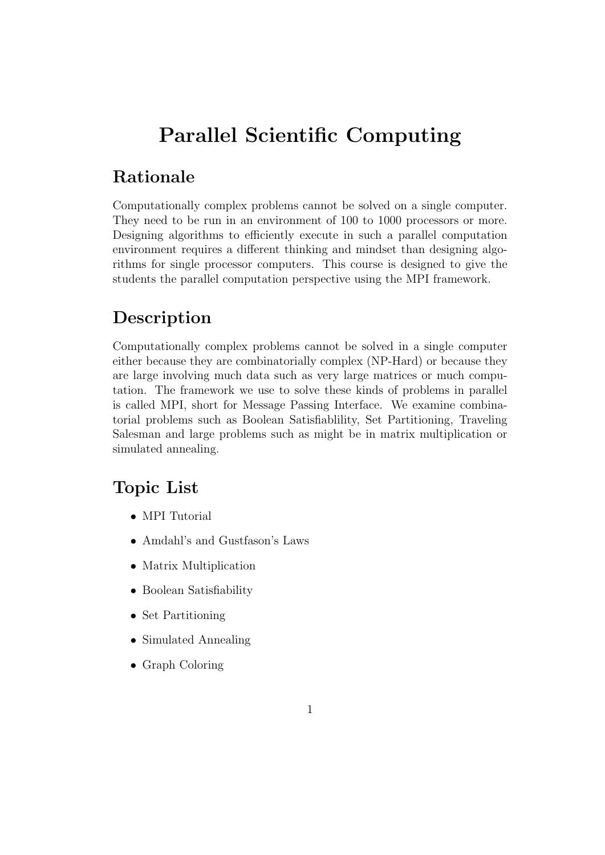# Parallel Scientific Computing

### Rationale

Computationally complex problems cannot be solved on a single computer. They need to be run in an environment of 100 to 1000 processors or more. Designing algorithms to efficiently execute in such a parallel computation environment requires a different thinking and mindset than designing algorithms for single processor computers. This course is designed to give the students the parallel computation perspective using the MPI framework.

# Description

Computationally complex problems cannot be solved in a single computer either because they are combinatorially complex (NP-Hard) or because they are large involving much data such as very large matrices or much computation. The framework we use to solve these kinds of problems in parallel is called MPI, short for Message Passing Interface. We examine combinatorial problems such as Boolean Satisfiablility, Set Partitioning, Traveling Salesman and large problems such as might be in matrix multiplication or simulated annealing.

## Topic List

- MPI Tutorial
- Amdahl's and Gustfason's Laws
- Matrix Multiplication
- Boolean Satisfiability
- Set Partitioning
- Simulated Annealing
- Graph Coloring